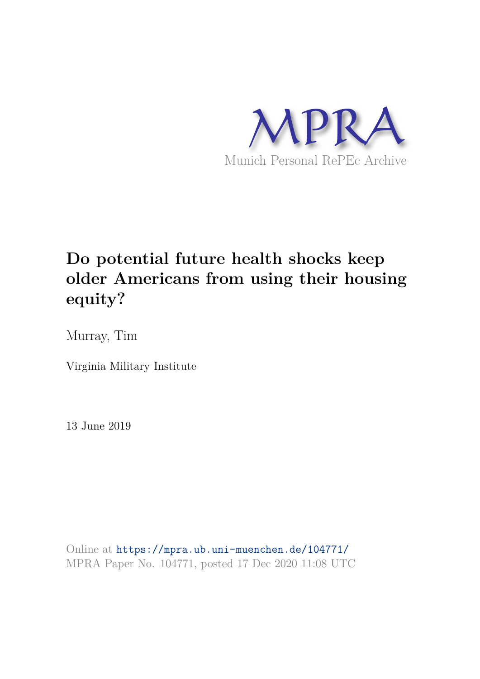

# **Do potential future health shocks keep older Americans from using their housing equity?**

Murray, Tim

Virginia Military Institute

13 June 2019

Online at https://mpra.ub.uni-muenchen.de/104771/ MPRA Paper No. 104771, posted 17 Dec 2020 11:08 UTC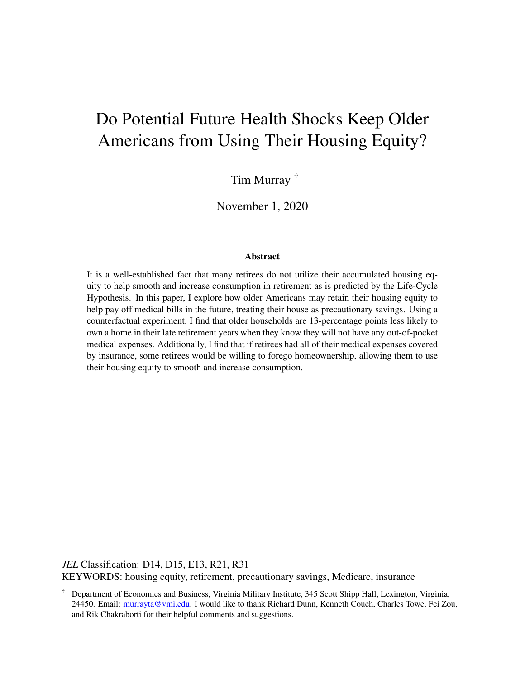# Do Potential Future Health Shocks Keep Older Americans from Using Their Housing Equity?

Tim Murray †

November 1, 2020

#### Abstract

It is a well-established fact that many retirees do not utilize their accumulated housing equity to help smooth and increase consumption in retirement as is predicted by the Life-Cycle Hypothesis. In this paper, I explore how older Americans may retain their housing equity to help pay off medical bills in the future, treating their house as precautionary savings. Using a counterfactual experiment, I find that older households are 13-percentage points less likely to own a home in their late retirement years when they know they will not have any out-of-pocket medical expenses. Additionally, I find that if retirees had all of their medical expenses covered by insurance, some retirees would be willing to forego homeownership, allowing them to use their housing equity to smooth and increase consumption.

*JEL* Classification: D14, D15, E13, R21, R31 KEYWORDS: housing equity, retirement, precautionary savings, Medicare, insurance

<sup>†</sup> Department of Economics and Business, Virginia Military Institute, 345 Scott Shipp Hall, Lexington, Virginia, 24450. Email: murrayta@vmi.edu. I would like to thank Richard Dunn, Kenneth Couch, Charles Towe, Fei Zou, and Rik Chakraborti for their helpful comments and suggestions.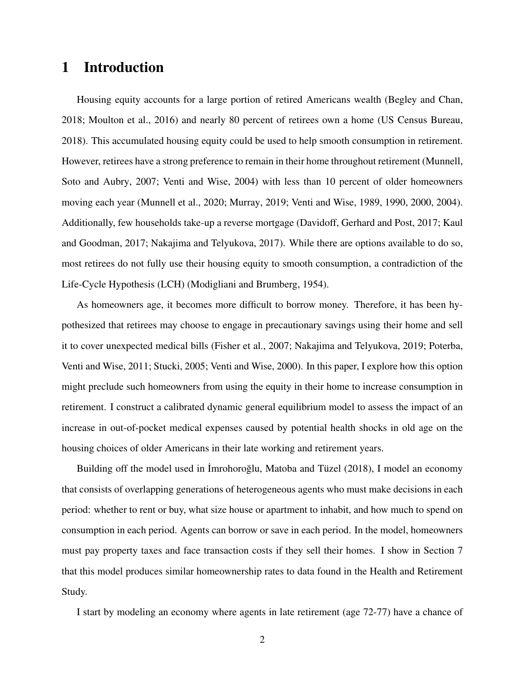## 1 Introduction

Housing equity accounts for a large portion of retired Americans wealth (Begley and Chan, 2018; Moulton et al., 2016) and nearly 80 percent of retirees own a home (US Census Bureau, 2018). This accumulated housing equity could be used to help smooth consumption in retirement. However, retirees have a strong preference to remain in their home throughout retirement (Munnell, Soto and Aubry, 2007; Venti and Wise, 2004) with less than 10 percent of older homeowners moving each year (Munnell et al., 2020; Murray, 2019; Venti and Wise, 1989, 1990, 2000, 2004). Additionally, few households take-up a reverse mortgage (Davidoff, Gerhard and Post, 2017; Kaul and Goodman, 2017; Nakajima and Telyukova, 2017). While there are options available to do so, most retirees do not fully use their housing equity to smooth consumption, a contradiction of the Life-Cycle Hypothesis (LCH) (Modigliani and Brumberg, 1954).

As homeowners age, it becomes more difficult to borrow money. Therefore, it has been hypothesized that retirees may choose to engage in precautionary savings using their home and sell it to cover unexpected medical bills (Fisher et al., 2007; Nakajima and Telyukova, 2019; Poterba, Venti and Wise, 2011; Stucki, 2005; Venti and Wise, 2000). In this paper, I explore how this option might preclude such homeowners from using the equity in their home to increase consumption in retirement. I construct a calibrated dynamic general equilibrium model to assess the impact of an increase in out-of-pocket medical expenses caused by potential health shocks in old age on the housing choices of older Americans in their late working and retirement years.

Building off the model used in Imrohoroglu, Matoba and Tüzel (2018), I model an economy that consists of overlapping generations of heterogeneous agents who must make decisions in each period: whether to rent or buy, what size house or apartment to inhabit, and how much to spend on consumption in each period. Agents can borrow or save in each period. In the model, homeowners must pay property taxes and face transaction costs if they sell their homes. I show in Section 7 that this model produces similar homeownership rates to data found in the Health and Retirement Study.

I start by modeling an economy where agents in late retirement (age 72-77) have a chance of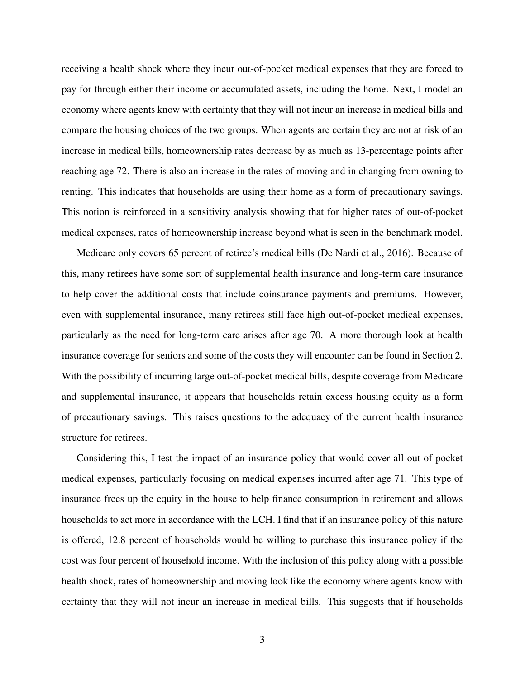receiving a health shock where they incur out-of-pocket medical expenses that they are forced to pay for through either their income or accumulated assets, including the home. Next, I model an economy where agents know with certainty that they will not incur an increase in medical bills and compare the housing choices of the two groups. When agents are certain they are not at risk of an increase in medical bills, homeownership rates decrease by as much as 13-percentage points after reaching age 72. There is also an increase in the rates of moving and in changing from owning to renting. This indicates that households are using their home as a form of precautionary savings. This notion is reinforced in a sensitivity analysis showing that for higher rates of out-of-pocket medical expenses, rates of homeownership increase beyond what is seen in the benchmark model.

Medicare only covers 65 percent of retiree's medical bills (De Nardi et al., 2016). Because of this, many retirees have some sort of supplemental health insurance and long-term care insurance to help cover the additional costs that include coinsurance payments and premiums. However, even with supplemental insurance, many retirees still face high out-of-pocket medical expenses, particularly as the need for long-term care arises after age 70. A more thorough look at health insurance coverage for seniors and some of the costs they will encounter can be found in Section 2. With the possibility of incurring large out-of-pocket medical bills, despite coverage from Medicare and supplemental insurance, it appears that households retain excess housing equity as a form of precautionary savings. This raises questions to the adequacy of the current health insurance structure for retirees.

Considering this, I test the impact of an insurance policy that would cover all out-of-pocket medical expenses, particularly focusing on medical expenses incurred after age 71. This type of insurance frees up the equity in the house to help finance consumption in retirement and allows households to act more in accordance with the LCH. I find that if an insurance policy of this nature is offered, 12.8 percent of households would be willing to purchase this insurance policy if the cost was four percent of household income. With the inclusion of this policy along with a possible health shock, rates of homeownership and moving look like the economy where agents know with certainty that they will not incur an increase in medical bills. This suggests that if households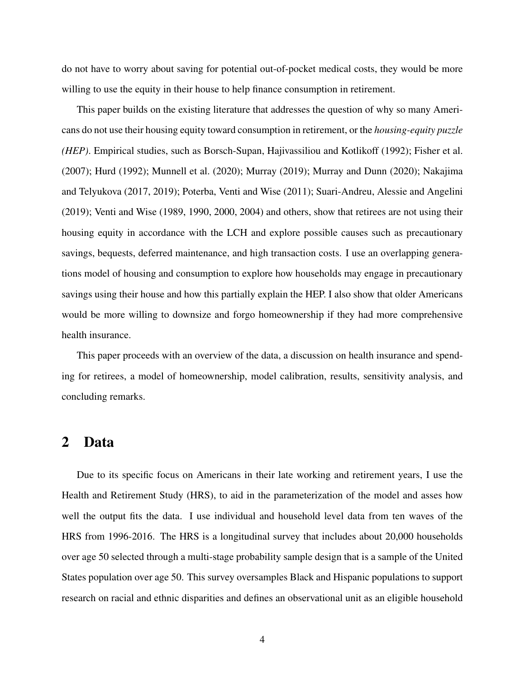do not have to worry about saving for potential out-of-pocket medical costs, they would be more willing to use the equity in their house to help finance consumption in retirement.

This paper builds on the existing literature that addresses the question of why so many Americans do not use their housing equity toward consumption in retirement, or the *housing-equity puzzle (HEP)*. Empirical studies, such as Borsch-Supan, Hajivassiliou and Kotlikoff (1992); Fisher et al. (2007); Hurd (1992); Munnell et al. (2020); Murray (2019); Murray and Dunn (2020); Nakajima and Telyukova (2017, 2019); Poterba, Venti and Wise (2011); Suari-Andreu, Alessie and Angelini (2019); Venti and Wise (1989, 1990, 2000, 2004) and others, show that retirees are not using their housing equity in accordance with the LCH and explore possible causes such as precautionary savings, bequests, deferred maintenance, and high transaction costs. I use an overlapping generations model of housing and consumption to explore how households may engage in precautionary savings using their house and how this partially explain the HEP. I also show that older Americans would be more willing to downsize and forgo homeownership if they had more comprehensive health insurance.

This paper proceeds with an overview of the data, a discussion on health insurance and spending for retirees, a model of homeownership, model calibration, results, sensitivity analysis, and concluding remarks.

## 2 Data

Due to its specific focus on Americans in their late working and retirement years, I use the Health and Retirement Study (HRS), to aid in the parameterization of the model and asses how well the output fits the data. I use individual and household level data from ten waves of the HRS from 1996-2016. The HRS is a longitudinal survey that includes about 20,000 households over age 50 selected through a multi-stage probability sample design that is a sample of the United States population over age 50. This survey oversamples Black and Hispanic populations to support research on racial and ethnic disparities and defines an observational unit as an eligible household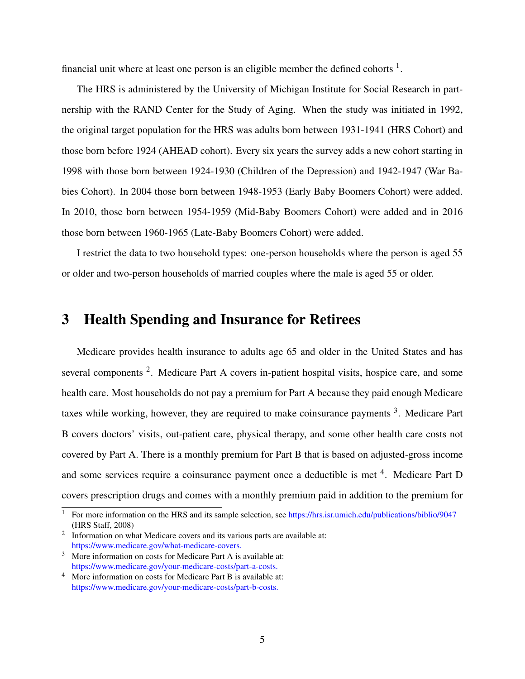financial unit where at least one person is an eligible member the defined cohorts  $<sup>1</sup>$ .</sup>

The HRS is administered by the University of Michigan Institute for Social Research in partnership with the RAND Center for the Study of Aging. When the study was initiated in 1992, the original target population for the HRS was adults born between 1931-1941 (HRS Cohort) and those born before 1924 (AHEAD cohort). Every six years the survey adds a new cohort starting in 1998 with those born between 1924-1930 (Children of the Depression) and 1942-1947 (War Babies Cohort). In 2004 those born between 1948-1953 (Early Baby Boomers Cohort) were added. In 2010, those born between 1954-1959 (Mid-Baby Boomers Cohort) were added and in 2016 those born between 1960-1965 (Late-Baby Boomers Cohort) were added.

I restrict the data to two household types: one-person households where the person is aged 55 or older and two-person households of married couples where the male is aged 55 or older.

## 3 Health Spending and Insurance for Retirees

Medicare provides health insurance to adults age 65 and older in the United States and has several components<sup>2</sup>. Medicare Part A covers in-patient hospital visits, hospice care, and some health care. Most households do not pay a premium for Part A because they paid enough Medicare taxes while working, however, they are required to make coinsurance payments <sup>3</sup>. Medicare Part B covers doctors' visits, out-patient care, physical therapy, and some other health care costs not covered by Part A. There is a monthly premium for Part B that is based on adjusted-gross income and some services require a coinsurance payment once a deductible is met <sup>4</sup>. Medicare Part D covers prescription drugs and comes with a monthly premium paid in addition to the premium for

<sup>&</sup>lt;sup>1</sup> For more information on the HRS and its sample selection, see https://hrs.isr.umich.edu/publications/biblio/9047 (HRS Staff, 2008)

<sup>2</sup> Information on what Medicare covers and its various parts are available at: https://www.medicare.gov/what-medicare-covers.

More information on costs for Medicare Part A is available at: https://www.medicare.gov/your-medicare-costs/part-a-costs.

<sup>4</sup> More information on costs for Medicare Part B is available at: https://www.medicare.gov/your-medicare-costs/part-b-costs.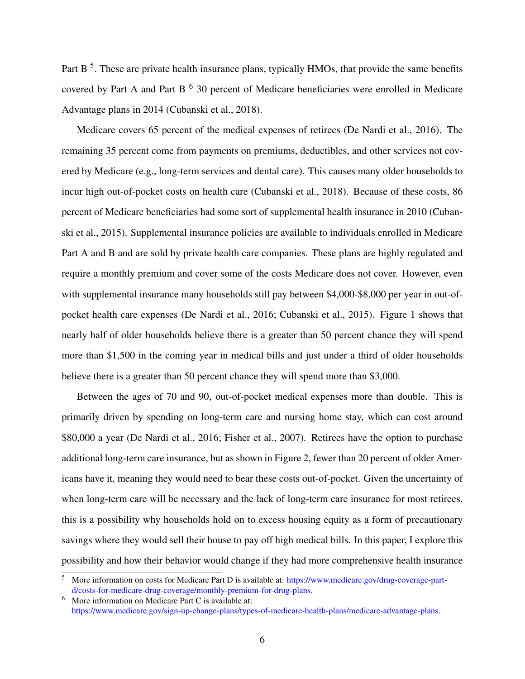Part B<sup>5</sup>. These are private health insurance plans, typically HMOs, that provide the same benefits covered by Part A and Part B<sup>6</sup> 30 percent of Medicare beneficiaries were enrolled in Medicare Advantage plans in 2014 (Cubanski et al., 2018).

Medicare covers 65 percent of the medical expenses of retirees (De Nardi et al., 2016). The remaining 35 percent come from payments on premiums, deductibles, and other services not covered by Medicare (e.g., long-term services and dental care). This causes many older households to incur high out-of-pocket costs on health care (Cubanski et al., 2018). Because of these costs, 86 percent of Medicare beneficiaries had some sort of supplemental health insurance in 2010 (Cubanski et al., 2015). Supplemental insurance policies are available to individuals enrolled in Medicare Part A and B and are sold by private health care companies. These plans are highly regulated and require a monthly premium and cover some of the costs Medicare does not cover. However, even with supplemental insurance many households still pay between \$4,000-\$8,000 per year in out-ofpocket health care expenses (De Nardi et al., 2016; Cubanski et al., 2015). Figure 1 shows that nearly half of older households believe there is a greater than 50 percent chance they will spend more than \$1,500 in the coming year in medical bills and just under a third of older households believe there is a greater than 50 percent chance they will spend more than \$3,000.

Between the ages of 70 and 90, out-of-pocket medical expenses more than double. This is primarily driven by spending on long-term care and nursing home stay, which can cost around \$80,000 a year (De Nardi et al., 2016; Fisher et al., 2007). Retirees have the option to purchase additional long-term care insurance, but as shown in Figure 2, fewer than 20 percent of older Americans have it, meaning they would need to bear these costs out-of-pocket. Given the uncertainty of when long-term care will be necessary and the lack of long-term care insurance for most retirees, this is a possibility why households hold on to excess housing equity as a form of precautionary savings where they would sell their house to pay off high medical bills. In this paper, I explore this possibility and how their behavior would change if they had more comprehensive health insurance

<sup>5</sup> More information on costs for Medicare Part D is available at: https://www.medicare.gov/drug-coverage-partd/costs-for-medicare-drug-coverage/monthly-premium-for-drug-plans.

<sup>6</sup> More information on Medicare Part C is available at: https://www.medicare.gov/sign-up-change-plans/types-of-medicare-health-plans/medicare-advantage-plans.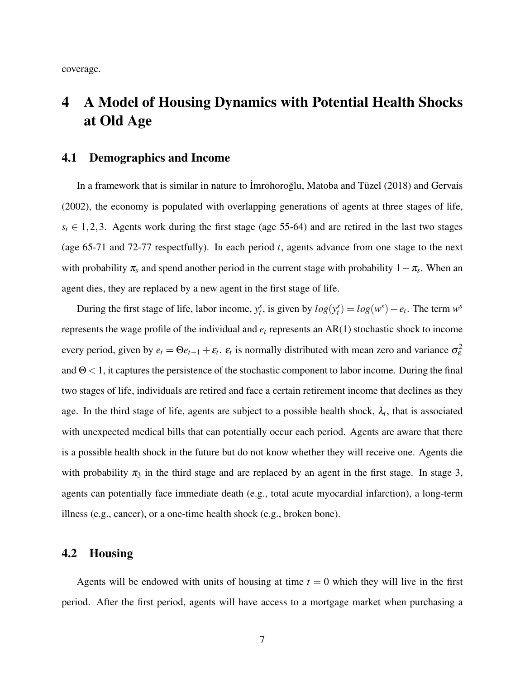coverage.

## 4 A Model of Housing Dynamics with Potential Health Shocks at Old Age

### 4.1 Demographics and Income

In a framework that is similar in nature to İmrohoroğlu, Matoba and Tüzel (2018) and Gervais (2002), the economy is populated with overlapping generations of agents at three stages of life,  $s_t \in [1, 2, 3]$ . Agents work during the first stage (age 55-64) and are retired in the last two stages (age 65-71 and 72-77 respectfully). In each period *t*, agents advance from one stage to the next with probability  $\pi_s$  and spend another period in the current stage with probability  $1-\pi_s$ . When an agent dies, they are replaced by a new agent in the first stage of life.

During the first stage of life, labor income,  $y_t^s$ , is given by  $log(y_t^s) = log(w^s) + e_t$ . The term  $w^s$ represents the wage profile of the individual and *e<sup>t</sup>* represents an AR(1) stochastic shock to income every period, given by  $e_t = \Theta e_{t-1} + \varepsilon_t$ .  $\varepsilon_t$  is normally distributed with mean zero and variance  $\sigma_\varepsilon^2$ and  $\Theta$  < 1, it captures the persistence of the stochastic component to labor income. During the final two stages of life, individuals are retired and face a certain retirement income that declines as they age. In the third stage of life, agents are subject to a possible health shock,  $\lambda_t$ , that is associated with unexpected medical bills that can potentially occur each period. Agents are aware that there is a possible health shock in the future but do not know whether they will receive one. Agents die with probability  $\pi_3$  in the third stage and are replaced by an agent in the first stage. In stage 3, agents can potentially face immediate death (e.g., total acute myocardial infarction), a long-term illness (e.g., cancer), or a one-time health shock (e.g., broken bone).

## 4.2 Housing

Agents will be endowed with units of housing at time  $t = 0$  which they will live in the first period. After the first period, agents will have access to a mortgage market when purchasing a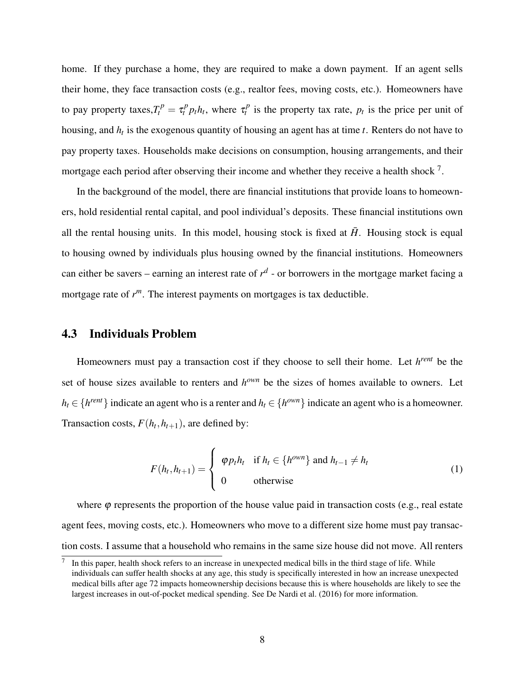home. If they purchase a home, they are required to make a down payment. If an agent sells their home, they face transaction costs (e.g., realtor fees, moving costs, etc.). Homeowners have to pay property taxes,  $T_t^p = \tau_t^p p_t h_t$ , where  $\tau_t^p$  $t_t^p$  is the property tax rate,  $p_t$  is the price per unit of housing, and *h<sup>t</sup>* is the exogenous quantity of housing an agent has at time *t*. Renters do not have to pay property taxes. Households make decisions on consumption, housing arrangements, and their mortgage each period after observing their income and whether they receive a health shock  $^7$ .

In the background of the model, there are financial institutions that provide loans to homeowners, hold residential rental capital, and pool individual's deposits. These financial institutions own all the rental housing units. In this model, housing stock is fixed at  $\bar{H}$ . Housing stock is equal to housing owned by individuals plus housing owned by the financial institutions. Homeowners can either be savers – earning an interest rate of  $r<sup>d</sup>$  - or borrowers in the mortgage market facing a mortgage rate of *r <sup>m</sup>*. The interest payments on mortgages is tax deductible.

#### 4.3 Individuals Problem

Homeowners must pay a transaction cost if they choose to sell their home. Let *h rent* be the set of house sizes available to renters and  $h^{own}$  be the sizes of homes available to owners. Let  $h_t \in \{h^{rent}\}\$ indicate an agent who is a renter and  $h_t \in \{h^{own}\}\$ indicate an agent who is a homeowner. Transaction costs,  $F(h_t, h_{t+1})$ , are defined by:

$$
F(h_t, h_{t+1}) = \begin{cases} \varphi p_t h_t & \text{if } h_t \in \{h^{own}\} \text{ and } h_{t-1} \neq h_t \\ 0 & \text{otherwise} \end{cases}
$$
 (1)

where  $\varphi$  represents the proportion of the house value paid in transaction costs (e.g., real estate agent fees, moving costs, etc.). Homeowners who move to a different size home must pay transaction costs. I assume that a household who remains in the same size house did not move. All renters

<sup>7</sup> In this paper, health shock refers to an increase in unexpected medical bills in the third stage of life. While individuals can suffer health shocks at any age, this study is specifically interested in how an increase unexpected medical bills after age 72 impacts homeownership decisions because this is where households are likely to see the largest increases in out-of-pocket medical spending. See De Nardi et al. (2016) for more information.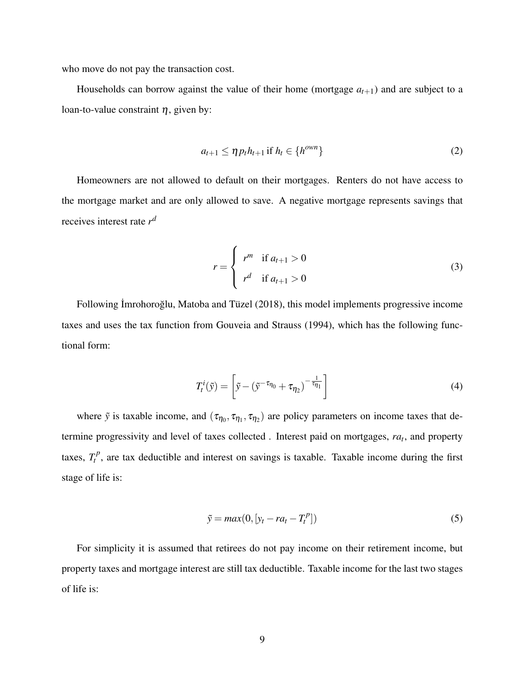who move do not pay the transaction cost.

Households can borrow against the value of their home (mortgage  $a_{t+1}$ ) and are subject to a loan-to-value constraint  $\eta$ , given by:

$$
a_{t+1} \leq \eta p_t h_{t+1} \text{ if } h_t \in \{h^{own}\}\
$$
 (2)

Homeowners are not allowed to default on their mortgages. Renters do not have access to the mortgage market and are only allowed to save. A negative mortgage represents savings that receives interest rate *r d*

$$
r = \begin{cases} r^{m} & \text{if } a_{t+1} > 0 \\ r^{d} & \text{if } a_{t+1} > 0 \end{cases}
$$
 (3)

Following İmrohoroğlu, Matoba and Tüzel (2018), this model implements progressive income taxes and uses the tax function from Gouveia and Strauss (1994), which has the following functional form:

$$
T_t^i(\tilde{y}) = \left[\tilde{y} - \left(\tilde{y}^{-\tau_{\eta_0}} + \tau_{\eta_2}\right)^{-\frac{1}{\tau_{\eta_1}}}\right]
$$
\n(4)

where  $\tilde{y}$  is taxable income, and  $(\tau_{\eta_0}, \tau_{\eta_1}, \tau_{\eta_2})$  are policy parameters on income taxes that determine progressivity and level of taxes collected . Interest paid on mortgages, *ra<sup>t</sup>* , and property taxes,  $T_t^p$  $t<sup>p</sup>$ , are tax deductible and interest on savings is taxable. Taxable income during the first stage of life is:

$$
\tilde{y} = max(0, [y_t - ra_t - T_t^p])
$$
\n(5)

For simplicity it is assumed that retirees do not pay income on their retirement income, but property taxes and mortgage interest are still tax deductible. Taxable income for the last two stages of life is: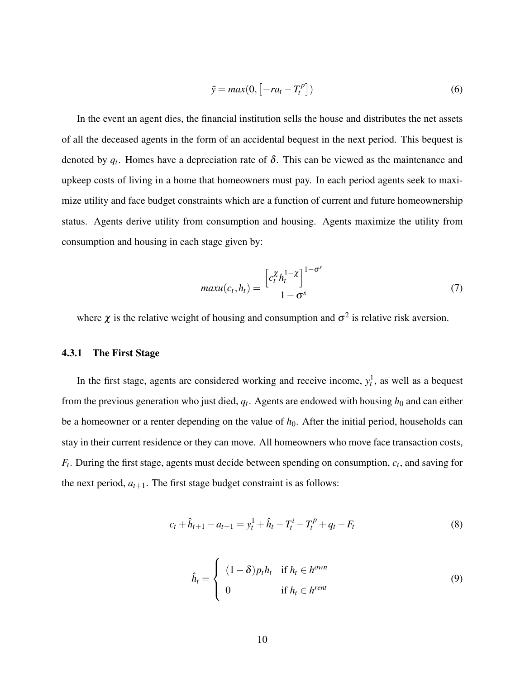$$
\tilde{y} = max(0, \left[ -ra_t - T_t^P \right]) \tag{6}
$$

In the event an agent dies, the financial institution sells the house and distributes the net assets of all the deceased agents in the form of an accidental bequest in the next period. This bequest is denoted by  $q_t$ . Homes have a depreciation rate of  $\delta$ . This can be viewed as the maintenance and upkeep costs of living in a home that homeowners must pay. In each period agents seek to maximize utility and face budget constraints which are a function of current and future homeownership status. Agents derive utility from consumption and housing. Agents maximize the utility from consumption and housing in each stage given by:

$$
maxu(c_t, h_t) = \frac{\left[c_t^{\chi} h_t^{1-\chi}\right]^{1-\sigma^s}}{1-\sigma^s}
$$
\n(7)

where  $\chi$  is the relative weight of housing and consumption and  $\sigma^2$  is relative risk aversion.

#### 4.3.1 The First Stage

In the first stage, agents are considered working and receive income,  $y_t^1$ , as well as a bequest from the previous generation who just died,  $q_t$ . Agents are endowed with housing  $h_0$  and can either be a homeowner or a renter depending on the value of  $h<sub>0</sub>$ . After the initial period, households can stay in their current residence or they can move. All homeowners who move face transaction costs, *Ft* . During the first stage, agents must decide between spending on consumption, *c<sup>t</sup>* , and saving for the next period,  $a_{t+1}$ . The first stage budget constraint is as follows:

$$
c_t + \hat{h}_{t+1} - a_{t+1} = y_t^1 + \hat{h}_t - T_t^i - T_t^p + q_t - F_t \tag{8}
$$

$$
\hat{h}_t = \begin{cases}\n(1 - \delta) p_t h_t & \text{if } h_t \in h^{own} \\
0 & \text{if } h_t \in h^{rent}\n\end{cases}
$$
\n(9)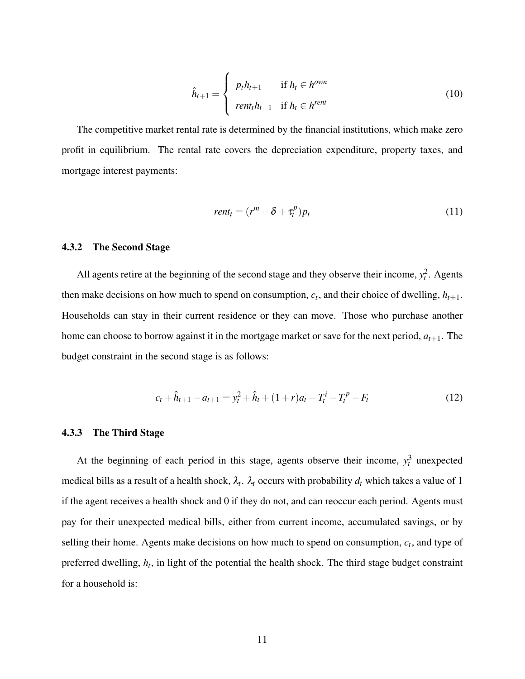$$
\hat{h}_{t+1} = \begin{cases}\n p_t h_{t+1} & \text{if } h_t \in h^{own} \\
 \text{rent}_t h_{t+1} & \text{if } h_t \in h^{rent}\n\end{cases}
$$
\n(10)

The competitive market rental rate is determined by the financial institutions, which make zero profit in equilibrium. The rental rate covers the depreciation expenditure, property taxes, and mortgage interest payments:

$$
rent_t = (r^m + \delta + \tau_t^p)p_t
$$
\n(11)

#### 4.3.2 The Second Stage

All agents retire at the beginning of the second stage and they observe their income,  $y_t^2$ . Agents then make decisions on how much to spend on consumption,  $c_t$ , and their choice of dwelling,  $h_{t+1}$ . Households can stay in their current residence or they can move. Those who purchase another home can choose to borrow against it in the mortgage market or save for the next period,  $a_{t+1}$ . The budget constraint in the second stage is as follows:

$$
c_t + \hat{h}_{t+1} - a_{t+1} = y_t^2 + \hat{h}_t + (1+r)a_t - T_t^i - T_t^p - F_t
$$
\n(12)

#### 4.3.3 The Third Stage

At the beginning of each period in this stage, agents observe their income,  $y_t^3$  unexpected medical bills as a result of a health shock,  $\lambda_t$ .  $\lambda_t$  occurs with probability  $d_t$  which takes a value of 1 if the agent receives a health shock and 0 if they do not, and can reoccur each period. Agents must pay for their unexpected medical bills, either from current income, accumulated savings, or by selling their home. Agents make decisions on how much to spend on consumption, *c<sup>t</sup>* , and type of preferred dwelling, *h<sup>t</sup>* , in light of the potential the health shock. The third stage budget constraint for a household is: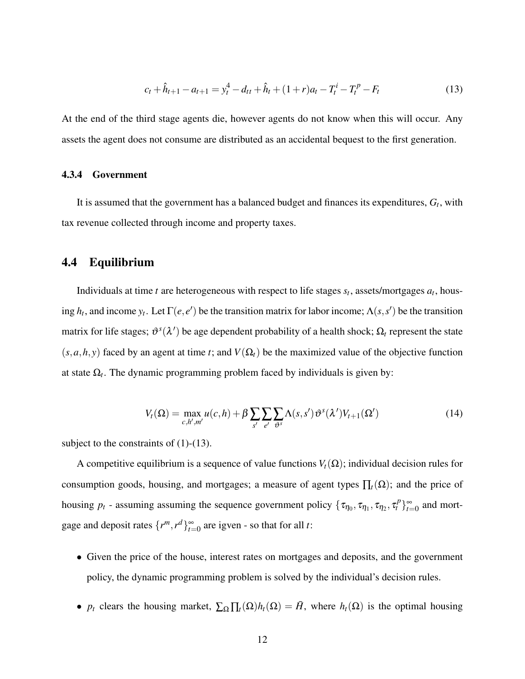$$
c_t + \hat{h}_{t+1} - a_{t+1} = y_t^4 - d_{tt} + \hat{h}_t + (1+r)a_t - T_t^i - T_t^p - F_t
$$
\n(13)

At the end of the third stage agents die, however agents do not know when this will occur. Any assets the agent does not consume are distributed as an accidental bequest to the first generation.

#### 4.3.4 Government

It is assumed that the government has a balanced budget and finances its expenditures, *G<sup>t</sup>* , with tax revenue collected through income and property taxes.

### 4.4 Equilibrium

Individuals at time  $t$  are heterogeneous with respect to life stages  $s_t$ , assets/mortgages  $a_t$ , housing  $h_t$ , and income  $y_t$ . Let  $\Gamma(e, e')$  be the transition matrix for labor income;  $\Lambda(s, s')$  be the transition matrix for life stages;  $\vartheta^s(\lambda')$  be age dependent probability of a health shock;  $\Omega_t$  represent the state  $(s, a, h, y)$  faced by an agent at time *t*; and  $V(\Omega_t)$  be the maximized value of the objective function at state  $\Omega_t$ . The dynamic programming problem faced by individuals is given by:

$$
V_t(\Omega) = \max_{c,h',m'} u(c,h) + \beta \sum_{s'} \sum_{e'} \sum_{\vartheta^s} \Lambda(s,s') \vartheta^s(\lambda') V_{t+1}(\Omega')
$$
(14)

subject to the constraints of  $(1)-(13)$ .

A competitive equilibrium is a sequence of value functions  $V_t(\Omega)$ ; individual decision rules for consumption goods, housing, and mortgages; a measure of agent types  $\prod_t(\Omega)$ ; and the price of housing  $p_t$  - assuming assuming the sequence government policy  $\{\tau_{\eta_0}, \tau_{\eta_1}, \tau_{\eta_2}, \tau_t^p\}_{t=1}^\infty$  $\sum_{t=0}^{\infty}$  and mortgage and deposit rates  $\{r^m, r^d\}_{t=1}^{\infty}$  $\sum_{t=0}^{\infty}$  are igven - so that for all *t*:

- Given the price of the house, interest rates on mortgages and deposits, and the government policy, the dynamic programming problem is solved by the individual's decision rules.
- *p<sub>t</sub>* clears the housing market,  $\sum_{\Omega} \prod_{t}(\Omega) h_t(\Omega) = \overline{H}$ , where  $h_t(\Omega)$  is the optimal housing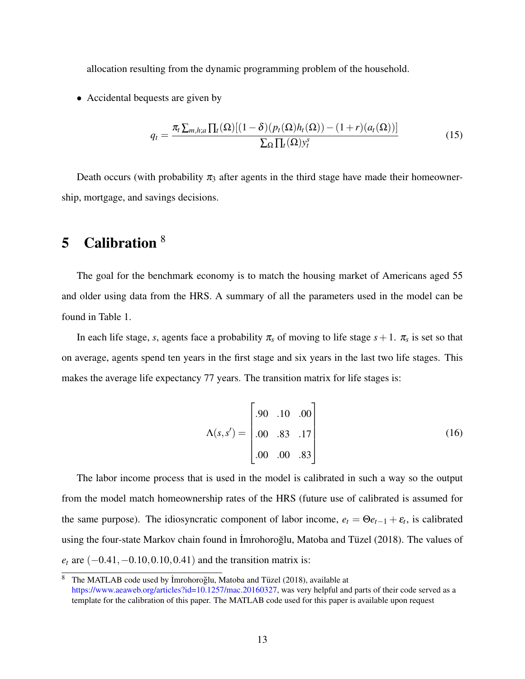allocation resulting from the dynamic programming problem of the household.

• Accidental bequests are given by

$$
q_t = \frac{\pi_t \sum_{m,h;a} \prod_t(\Omega) [(1-\delta)(p_t(\Omega)h_t(\Omega)) - (1+r)(a_t(\Omega))]}{\sum_{\Omega} \prod_t(\Omega) y_t^s}
$$
(15)

Death occurs (with probability  $\pi_3$  after agents in the third stage have made their homeownership, mortgage, and savings decisions.

## 5 Calibration <sup>8</sup>

The goal for the benchmark economy is to match the housing market of Americans aged 55 and older using data from the HRS. A summary of all the parameters used in the model can be found in Table 1.

In each life stage, *s*, agents face a probability  $\pi_s$  of moving to life stage  $s+1$ .  $\pi_s$  is set so that on average, agents spend ten years in the first stage and six years in the last two life stages. This makes the average life expectancy 77 years. The transition matrix for life stages is:

$$
\Lambda(s, s') = \begin{bmatrix} .90 & .10 & .00 \\ .00 & .83 & .17 \\ .00 & .00 & .83 \end{bmatrix}
$$
 (16)

The labor income process that is used in the model is calibrated in such a way so the output from the model match homeownership rates of the HRS (future use of calibrated is assumed for the same purpose). The idiosyncratic component of labor income,  $e_t = \Theta e_{t-1} + \varepsilon_t$ , is calibrated using the four-state Markov chain found in İmrohoroğlu, Matoba and Tüzel (2018). The values of *e*<sup>*t*</sup> are (−0.41, −0.10, 0.10, 0.41) and the transition matrix is:

<sup>&</sup>lt;sup>8</sup> The MATLAB code used by İmrohoroğlu, Matoba and Tüzel (2018), available at https://www.aeaweb.org/articles?id=10.1257/mac.20160327, was very helpful and parts of their code served as a template for the calibration of this paper. The MATLAB code used for this paper is available upon request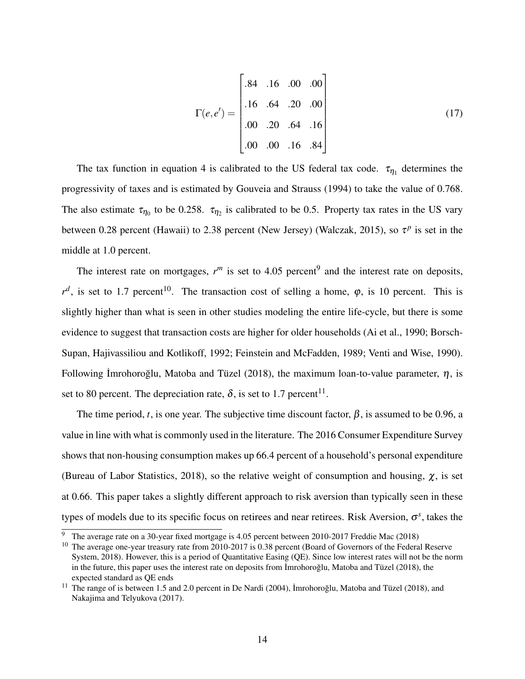$$
\Gamma(e, e') = \begin{bmatrix} .84 & .16 & .00 & .00 \\ .16 & .64 & .20 & .00 \\ .00 & .20 & .64 & .16 \\ .00 & .00 & .16 & .84 \end{bmatrix}
$$
(17)

The tax function in equation 4 is calibrated to the US federal tax code.  $\tau_{\eta_1}$  determines the progressivity of taxes and is estimated by Gouveia and Strauss (1994) to take the value of 0.768. The also estimate  $\tau_{\eta_0}$  to be 0.258.  $\tau_{\eta_2}$  is calibrated to be 0.5. Property tax rates in the US vary between 0.28 percent (Hawaii) to 2.38 percent (New Jersey) (Walczak, 2015), so  $\tau^p$  is set in the middle at 1.0 percent.

The interest rate on mortgages,  $r^m$  is set to 4.05 percent<sup>9</sup> and the interest rate on deposits,  $r^d$ , is set to 1.7 percent<sup>10</sup>. The transaction cost of selling a home,  $\varphi$ , is 10 percent. This is slightly higher than what is seen in other studies modeling the entire life-cycle, but there is some evidence to suggest that transaction costs are higher for older households (Ai et al., 1990; Borsch-Supan, Hajivassiliou and Kotlikoff, 1992; Feinstein and McFadden, 1989; Venti and Wise, 1990). Following İmrohoroğlu, Matoba and Tüzel (2018), the maximum loan-to-value parameter,  $\eta$ , is set to 80 percent. The depreciation rate,  $\delta$ , is set to 1.7 percent<sup>11</sup>.

The time period, *t*, is one year. The subjective time discount factor,  $\beta$ , is assumed to be 0.96, a value in line with what is commonly used in the literature. The 2016 Consumer Expenditure Survey shows that non-housing consumption makes up 66.4 percent of a household's personal expenditure (Bureau of Labor Statistics, 2018), so the relative weight of consumption and housing,  $\chi$ , is set at 0.66. This paper takes a slightly different approach to risk aversion than typically seen in these types of models due to its specific focus on retirees and near retirees. Risk Aversion, <sup>σ</sup> *s* , takes the

<sup>9</sup> The average rate on a 30-year fixed mortgage is 4.05 percent between 2010-2017 Freddie Mac (2018)

<sup>&</sup>lt;sup>10</sup> The average one-year treasury rate from 2010-2017 is 0.38 percent (Board of Governors of the Federal Reserve System, 2018). However, this is a period of Quantitative Easing (QE). Since low interest rates will not be the norm in the future, this paper uses the interest rate on deposits from  $\lim$ ohoroglu, Matoba and T  $\lim$  (2018), the expected standard as QE ends

<sup>&</sup>lt;sup>11</sup> The range of is between 1.5 and 2.0 percent in De Nardi (2004), Imrohoroglu, Matoba and Tüzel (2018), and Nakajima and Telyukova (2017).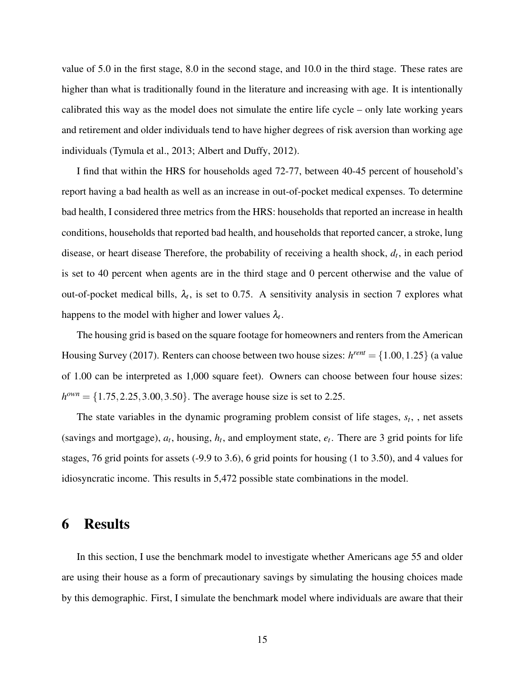value of 5.0 in the first stage, 8.0 in the second stage, and 10.0 in the third stage. These rates are higher than what is traditionally found in the literature and increasing with age. It is intentionally calibrated this way as the model does not simulate the entire life cycle – only late working years and retirement and older individuals tend to have higher degrees of risk aversion than working age individuals (Tymula et al., 2013; Albert and Duffy, 2012).

I find that within the HRS for households aged 72-77, between 40-45 percent of household's report having a bad health as well as an increase in out-of-pocket medical expenses. To determine bad health, I considered three metrics from the HRS: households that reported an increase in health conditions, households that reported bad health, and households that reported cancer, a stroke, lung disease, or heart disease Therefore, the probability of receiving a health shock, *d<sup>t</sup>* , in each period is set to 40 percent when agents are in the third stage and 0 percent otherwise and the value of out-of-pocket medical bills,  $\lambda_t$ , is set to 0.75. A sensitivity analysis in section 7 explores what happens to the model with higher and lower values  $\lambda_t$ .

The housing grid is based on the square footage for homeowners and renters from the American Housing Survey (2017). Renters can choose between two house sizes:  $h^{rent} = \{1.00, 1.25\}$  (a value of 1.00 can be interpreted as 1,000 square feet). Owners can choose between four house sizes:  $h^{own} = \{1.75, 2.25, 3.00, 3.50\}$ . The average house size is set to 2.25.

The state variables in the dynamic programing problem consist of life stages, *s<sup>t</sup>* , , net assets (savings and mortgage),  $a_t$ , housing,  $h_t$ , and employment state,  $e_t$ . There are 3 grid points for life stages, 76 grid points for assets (-9.9 to 3.6), 6 grid points for housing (1 to 3.50), and 4 values for idiosyncratic income. This results in 5,472 possible state combinations in the model.

## 6 Results

In this section, I use the benchmark model to investigate whether Americans age 55 and older are using their house as a form of precautionary savings by simulating the housing choices made by this demographic. First, I simulate the benchmark model where individuals are aware that their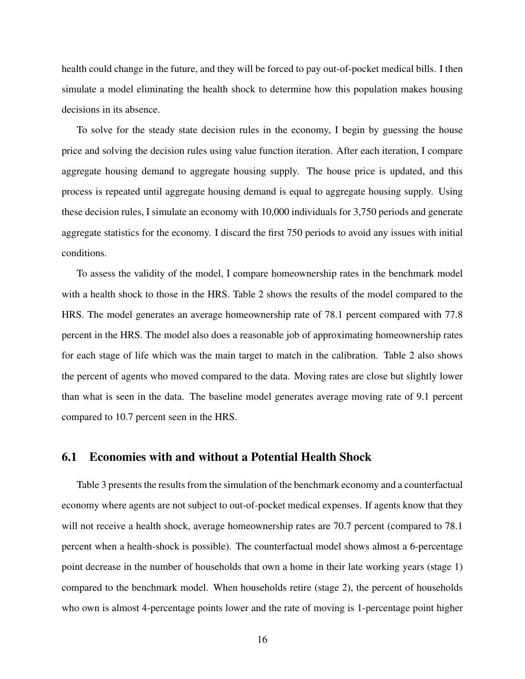health could change in the future, and they will be forced to pay out-of-pocket medical bills. I then simulate a model eliminating the health shock to determine how this population makes housing decisions in its absence.

To solve for the steady state decision rules in the economy, I begin by guessing the house price and solving the decision rules using value function iteration. After each iteration, I compare aggregate housing demand to aggregate housing supply. The house price is updated, and this process is repeated until aggregate housing demand is equal to aggregate housing supply. Using these decision rules, I simulate an economy with 10,000 individuals for 3,750 periods and generate aggregate statistics for the economy. I discard the first 750 periods to avoid any issues with initial conditions.

To assess the validity of the model, I compare homeownership rates in the benchmark model with a health shock to those in the HRS. Table 2 shows the results of the model compared to the HRS. The model generates an average homeownership rate of 78.1 percent compared with 77.8 percent in the HRS. The model also does a reasonable job of approximating homeownership rates for each stage of life which was the main target to match in the calibration. Table 2 also shows the percent of agents who moved compared to the data. Moving rates are close but slightly lower than what is seen in the data. The baseline model generates average moving rate of 9.1 percent compared to 10.7 percent seen in the HRS.

#### 6.1 Economies with and without a Potential Health Shock

Table 3 presents the results from the simulation of the benchmark economy and a counterfactual economy where agents are not subject to out-of-pocket medical expenses. If agents know that they will not receive a health shock, average homeownership rates are 70.7 percent (compared to 78.1) percent when a health-shock is possible). The counterfactual model shows almost a 6-percentage point decrease in the number of households that own a home in their late working years (stage 1) compared to the benchmark model. When households retire (stage 2), the percent of households who own is almost 4-percentage points lower and the rate of moving is 1-percentage point higher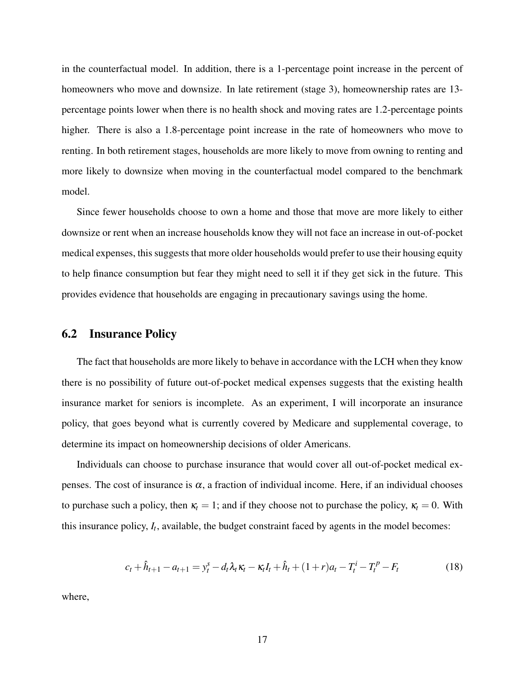in the counterfactual model. In addition, there is a 1-percentage point increase in the percent of homeowners who move and downsize. In late retirement (stage 3), homeownership rates are 13percentage points lower when there is no health shock and moving rates are 1.2-percentage points higher. There is also a 1.8-percentage point increase in the rate of homeowners who move to renting. In both retirement stages, households are more likely to move from owning to renting and more likely to downsize when moving in the counterfactual model compared to the benchmark model.

Since fewer households choose to own a home and those that move are more likely to either downsize or rent when an increase households know they will not face an increase in out-of-pocket medical expenses, this suggests that more older households would prefer to use their housing equity to help finance consumption but fear they might need to sell it if they get sick in the future. This provides evidence that households are engaging in precautionary savings using the home.

#### 6.2 Insurance Policy

The fact that households are more likely to behave in accordance with the LCH when they know there is no possibility of future out-of-pocket medical expenses suggests that the existing health insurance market for seniors is incomplete. As an experiment, I will incorporate an insurance policy, that goes beyond what is currently covered by Medicare and supplemental coverage, to determine its impact on homeownership decisions of older Americans.

Individuals can choose to purchase insurance that would cover all out-of-pocket medical expenses. The cost of insurance is  $\alpha$ , a fraction of individual income. Here, if an individual chooses to purchase such a policy, then  $\kappa_t = 1$ ; and if they choose not to purchase the policy,  $\kappa_t = 0$ . With this insurance policy,  $I_t$ , available, the budget constraint faced by agents in the model becomes:

$$
c_t + \hat{h}_{t+1} - a_{t+1} = y_t^s - d_t \lambda_t \kappa_t - \kappa_t I_t + \hat{h}_t + (1+r)a_t - T_t^i - T_t^p - F_t \tag{18}
$$

where,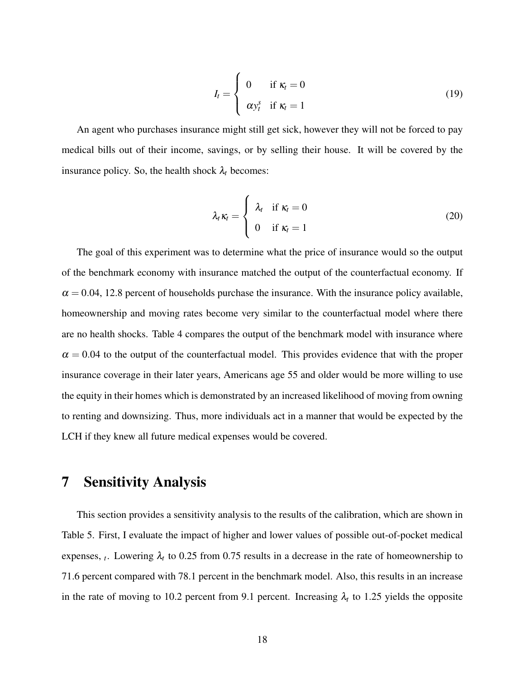$$
I_t = \begin{cases} 0 & \text{if } \kappa_t = 0 \\ \alpha y_t^s & \text{if } \kappa_t = 1 \end{cases}
$$
 (19)

An agent who purchases insurance might still get sick, however they will not be forced to pay medical bills out of their income, savings, or by selling their house. It will be covered by the insurance policy. So, the health shock  $\lambda_t$  becomes:

$$
\lambda_t \kappa_t = \begin{cases} \lambda_t & \text{if } \kappa_t = 0 \\ 0 & \text{if } \kappa_t = 1 \end{cases}
$$
 (20)

The goal of this experiment was to determine what the price of insurance would so the output of the benchmark economy with insurance matched the output of the counterfactual economy. If  $\alpha$  = 0.04, 12.8 percent of households purchase the insurance. With the insurance policy available, homeownership and moving rates become very similar to the counterfactual model where there are no health shocks. Table 4 compares the output of the benchmark model with insurance where  $\alpha = 0.04$  to the output of the counterfactual model. This provides evidence that with the proper insurance coverage in their later years, Americans age 55 and older would be more willing to use the equity in their homes which is demonstrated by an increased likelihood of moving from owning to renting and downsizing. Thus, more individuals act in a manner that would be expected by the LCH if they knew all future medical expenses would be covered.

## 7 Sensitivity Analysis

This section provides a sensitivity analysis to the results of the calibration, which are shown in Table 5. First, I evaluate the impact of higher and lower values of possible out-of-pocket medical expenses,  $_t$ . Lowering  $\lambda_t$  to 0.25 from 0.75 results in a decrease in the rate of homeownership to 71.6 percent compared with 78.1 percent in the benchmark model. Also, this results in an increase in the rate of moving to 10.2 percent from 9.1 percent. Increasing  $\lambda_t$  to 1.25 yields the opposite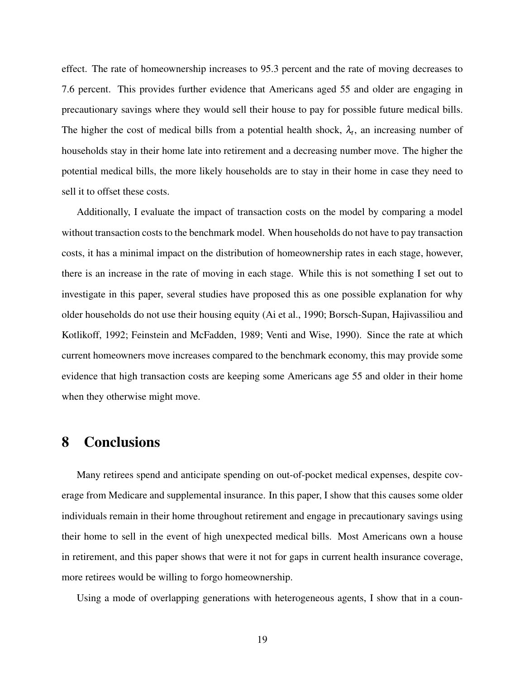effect. The rate of homeownership increases to 95.3 percent and the rate of moving decreases to 7.6 percent. This provides further evidence that Americans aged 55 and older are engaging in precautionary savings where they would sell their house to pay for possible future medical bills. The higher the cost of medical bills from a potential health shock,  $\lambda_t$ , an increasing number of households stay in their home late into retirement and a decreasing number move. The higher the potential medical bills, the more likely households are to stay in their home in case they need to sell it to offset these costs.

Additionally, I evaluate the impact of transaction costs on the model by comparing a model without transaction costs to the benchmark model. When households do not have to pay transaction costs, it has a minimal impact on the distribution of homeownership rates in each stage, however, there is an increase in the rate of moving in each stage. While this is not something I set out to investigate in this paper, several studies have proposed this as one possible explanation for why older households do not use their housing equity (Ai et al., 1990; Borsch-Supan, Hajivassiliou and Kotlikoff, 1992; Feinstein and McFadden, 1989; Venti and Wise, 1990). Since the rate at which current homeowners move increases compared to the benchmark economy, this may provide some evidence that high transaction costs are keeping some Americans age 55 and older in their home when they otherwise might move.

## 8 Conclusions

Many retirees spend and anticipate spending on out-of-pocket medical expenses, despite coverage from Medicare and supplemental insurance. In this paper, I show that this causes some older individuals remain in their home throughout retirement and engage in precautionary savings using their home to sell in the event of high unexpected medical bills. Most Americans own a house in retirement, and this paper shows that were it not for gaps in current health insurance coverage, more retirees would be willing to forgo homeownership.

Using a mode of overlapping generations with heterogeneous agents, I show that in a coun-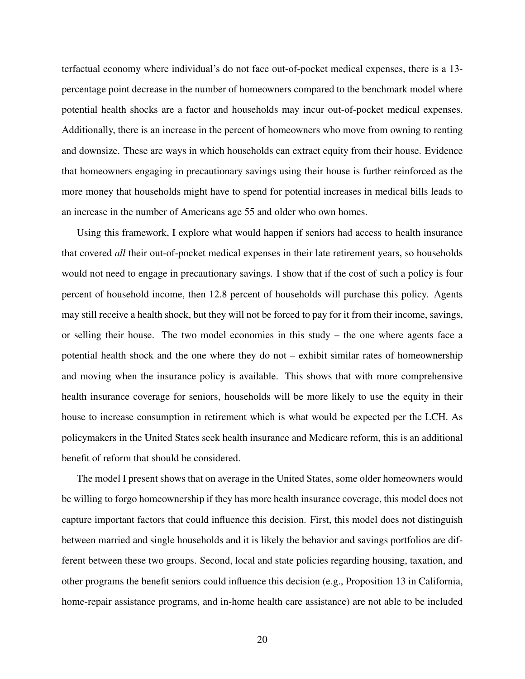terfactual economy where individual's do not face out-of-pocket medical expenses, there is a 13 percentage point decrease in the number of homeowners compared to the benchmark model where potential health shocks are a factor and households may incur out-of-pocket medical expenses. Additionally, there is an increase in the percent of homeowners who move from owning to renting and downsize. These are ways in which households can extract equity from their house. Evidence that homeowners engaging in precautionary savings using their house is further reinforced as the more money that households might have to spend for potential increases in medical bills leads to an increase in the number of Americans age 55 and older who own homes.

Using this framework, I explore what would happen if seniors had access to health insurance that covered *all* their out-of-pocket medical expenses in their late retirement years, so households would not need to engage in precautionary savings. I show that if the cost of such a policy is four percent of household income, then 12.8 percent of households will purchase this policy. Agents may still receive a health shock, but they will not be forced to pay for it from their income, savings, or selling their house. The two model economies in this study – the one where agents face a potential health shock and the one where they do not – exhibit similar rates of homeownership and moving when the insurance policy is available. This shows that with more comprehensive health insurance coverage for seniors, households will be more likely to use the equity in their house to increase consumption in retirement which is what would be expected per the LCH. As policymakers in the United States seek health insurance and Medicare reform, this is an additional benefit of reform that should be considered.

The model I present shows that on average in the United States, some older homeowners would be willing to forgo homeownership if they has more health insurance coverage, this model does not capture important factors that could influence this decision. First, this model does not distinguish between married and single households and it is likely the behavior and savings portfolios are different between these two groups. Second, local and state policies regarding housing, taxation, and other programs the benefit seniors could influence this decision (e.g., Proposition 13 in California, home-repair assistance programs, and in-home health care assistance) are not able to be included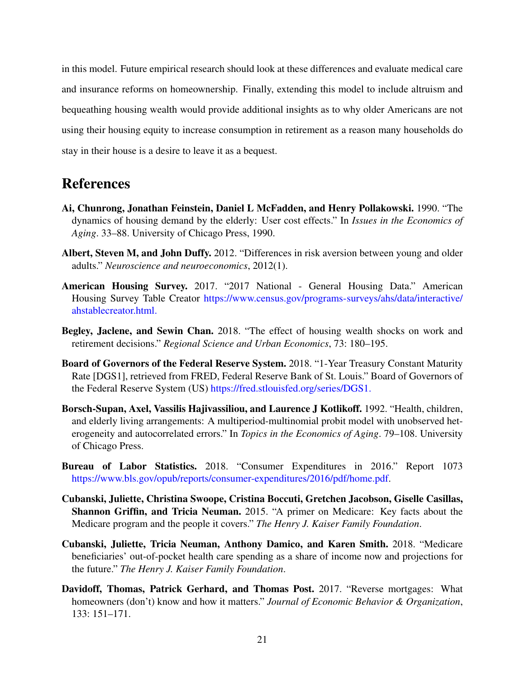in this model. Future empirical research should look at these differences and evaluate medical care and insurance reforms on homeownership. Finally, extending this model to include altruism and bequeathing housing wealth would provide additional insights as to why older Americans are not using their housing equity to increase consumption in retirement as a reason many households do stay in their house is a desire to leave it as a bequest.

## References

- Ai, Chunrong, Jonathan Feinstein, Daniel L McFadden, and Henry Pollakowski. 1990. "The dynamics of housing demand by the elderly: User cost effects." In *Issues in the Economics of Aging*. 33–88. University of Chicago Press, 1990.
- Albert, Steven M, and John Duffy. 2012. "Differences in risk aversion between young and older adults." *Neuroscience and neuroeconomics*, 2012(1).
- American Housing Survey. 2017. "2017 National General Housing Data." American Housing Survey Table Creator https://www.census.gov/programs-surveys/ahs/data/interactive/ ahstablecreator.html.
- Begley, Jaclene, and Sewin Chan. 2018. "The effect of housing wealth shocks on work and retirement decisions." *Regional Science and Urban Economics*, 73: 180–195.
- Board of Governors of the Federal Reserve System. 2018. "1-Year Treasury Constant Maturity Rate [DGS1], retrieved from FRED, Federal Reserve Bank of St. Louis." Board of Governors of the Federal Reserve System (US) https://fred.stlouisfed.org/series/DGS1.
- Borsch-Supan, Axel, Vassilis Hajivassiliou, and Laurence J Kotlikoff. 1992. "Health, children, and elderly living arrangements: A multiperiod-multinomial probit model with unobserved heterogeneity and autocorrelated errors." In *Topics in the Economics of Aging*. 79–108. University of Chicago Press.
- Bureau of Labor Statistics. 2018. "Consumer Expenditures in 2016." Report 1073 https://www.bls.gov/opub/reports/consumer-expenditures/2016/pdf/home.pdf.
- Cubanski, Juliette, Christina Swoope, Cristina Boccuti, Gretchen Jacobson, Giselle Casillas, Shannon Griffin, and Tricia Neuman. 2015. "A primer on Medicare: Key facts about the Medicare program and the people it covers." *The Henry J. Kaiser Family Foundation*.
- Cubanski, Juliette, Tricia Neuman, Anthony Damico, and Karen Smith. 2018. "Medicare beneficiaries' out-of-pocket health care spending as a share of income now and projections for the future." *The Henry J. Kaiser Family Foundation*.
- Davidoff, Thomas, Patrick Gerhard, and Thomas Post. 2017. "Reverse mortgages: What homeowners (don't) know and how it matters." *Journal of Economic Behavior & Organization*, 133: 151–171.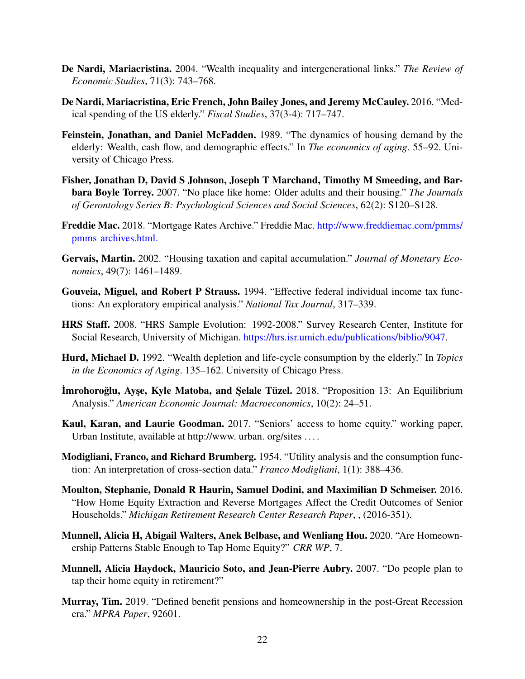- De Nardi, Mariacristina. 2004. "Wealth inequality and intergenerational links." *The Review of Economic Studies*, 71(3): 743–768.
- De Nardi, Mariacristina, Eric French, John Bailey Jones, and Jeremy McCauley. 2016. "Medical spending of the US elderly." *Fiscal Studies*, 37(3-4): 717–747.
- Feinstein, Jonathan, and Daniel McFadden. 1989. "The dynamics of housing demand by the elderly: Wealth, cash flow, and demographic effects." In *The economics of aging*. 55–92. University of Chicago Press.
- Fisher, Jonathan D, David S Johnson, Joseph T Marchand, Timothy M Smeeding, and Barbara Boyle Torrey. 2007. "No place like home: Older adults and their housing." *The Journals of Gerontology Series B: Psychological Sciences and Social Sciences*, 62(2): S120–S128.
- Freddie Mac. 2018. "Mortgage Rates Archive." Freddie Mac. http://www.freddiemac.com/pmms/ pmms archives.html.
- Gervais, Martin. 2002. "Housing taxation and capital accumulation." *Journal of Monetary Economics*, 49(7): 1461–1489.
- Gouveia, Miguel, and Robert P Strauss. 1994. "Effective federal individual income tax functions: An exploratory empirical analysis." *National Tax Journal*, 317–339.
- HRS Staff. 2008. "HRS Sample Evolution: 1992-2008." Survey Research Center, Institute for Social Research, University of Michigan. https://hrs.isr.umich.edu/publications/biblio/9047.
- Hurd, Michael D. 1992. "Wealth depletion and life-cycle consumption by the elderly." In *Topics in the Economics of Aging*. 135–162. University of Chicago Press.
- **İmrohoroğlu, Ayşe, Kyle Matoba, and Şelale Tüzel.** 2018. "Proposition 13: An Equilibrium Analysis." *American Economic Journal: Macroeconomics*, 10(2): 24–51.
- Kaul, Karan, and Laurie Goodman. 2017. "Seniors' access to home equity." working paper, Urban Institute, available at http://www. urban. org/sites . . . .
- Modigliani, Franco, and Richard Brumberg. 1954. "Utility analysis and the consumption function: An interpretation of cross-section data." *Franco Modigliani*, 1(1): 388–436.
- Moulton, Stephanie, Donald R Haurin, Samuel Dodini, and Maximilian D Schmeiser. 2016. "How Home Equity Extraction and Reverse Mortgages Affect the Credit Outcomes of Senior Households." *Michigan Retirement Research Center Research Paper*, , (2016-351).
- Munnell, Alicia H, Abigail Walters, Anek Belbase, and Wenliang Hou. 2020. "Are Homeownership Patterns Stable Enough to Tap Home Equity?" *CRR WP*, 7.
- Munnell, Alicia Haydock, Mauricio Soto, and Jean-Pierre Aubry. 2007. "Do people plan to tap their home equity in retirement?"
- Murray, Tim. 2019. "Defined benefit pensions and homeownership in the post-Great Recession era." *MPRA Paper*, 92601.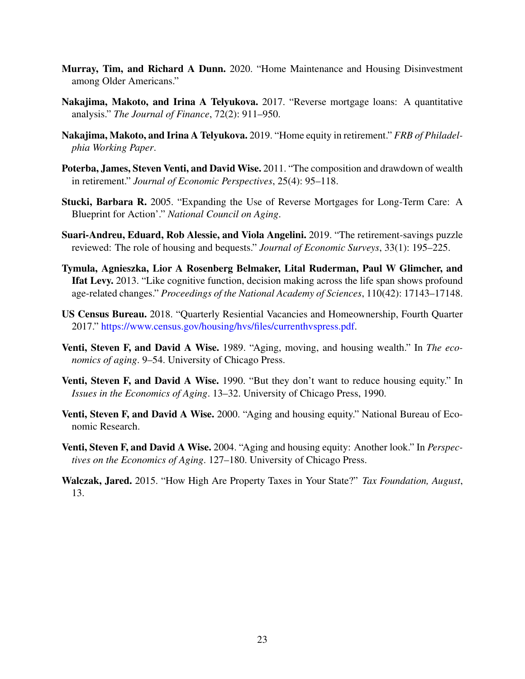- Murray, Tim, and Richard A Dunn. 2020. "Home Maintenance and Housing Disinvestment among Older Americans."
- Nakajima, Makoto, and Irina A Telyukova. 2017. "Reverse mortgage loans: A quantitative analysis." *The Journal of Finance*, 72(2): 911–950.
- Nakajima, Makoto, and Irina A Telyukova. 2019. "Home equity in retirement." *FRB of Philadelphia Working Paper*.
- Poterba, James, Steven Venti, and David Wise. 2011. "The composition and drawdown of wealth in retirement." *Journal of Economic Perspectives*, 25(4): 95–118.
- Stucki, Barbara R. 2005. "Expanding the Use of Reverse Mortgages for Long-Term Care: A Blueprint for Action'." *National Council on Aging*.
- Suari-Andreu, Eduard, Rob Alessie, and Viola Angelini. 2019. "The retirement-savings puzzle reviewed: The role of housing and bequests." *Journal of Economic Surveys*, 33(1): 195–225.
- Tymula, Agnieszka, Lior A Rosenberg Belmaker, Lital Ruderman, Paul W Glimcher, and Ifat Levy. 2013. "Like cognitive function, decision making across the life span shows profound age-related changes." *Proceedings of the National Academy of Sciences*, 110(42): 17143–17148.
- US Census Bureau. 2018. "Quarterly Resiential Vacancies and Homeownership, Fourth Quarter 2017." https://www.census.gov/housing/hvs/files/currenthvspress.pdf.
- Venti, Steven F, and David A Wise. 1989. "Aging, moving, and housing wealth." In *The economics of aging*. 9–54. University of Chicago Press.
- Venti, Steven F, and David A Wise. 1990. "But they don't want to reduce housing equity." In *Issues in the Economics of Aging*. 13–32. University of Chicago Press, 1990.
- Venti, Steven F, and David A Wise. 2000. "Aging and housing equity." National Bureau of Economic Research.
- Venti, Steven F, and David A Wise. 2004. "Aging and housing equity: Another look." In *Perspectives on the Economics of Aging*. 127–180. University of Chicago Press.
- Walczak, Jared. 2015. "How High Are Property Taxes in Your State?" *Tax Foundation, August*, 13.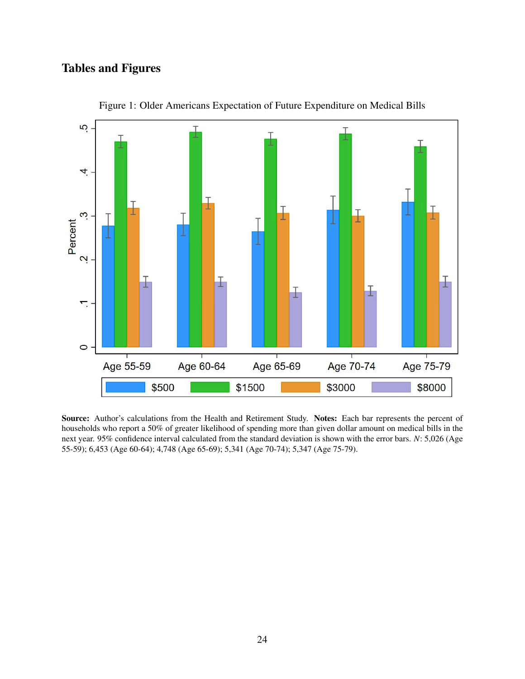## Tables and Figures



Figure 1: Older Americans Expectation of Future Expenditure on Medical Bills

Source: Author's calculations from the Health and Retirement Study. Notes: Each bar represents the percent of households who report a 50% of greater likelihood of spending more than given dollar amount on medical bills in the next year. 95% confidence interval calculated from the standard deviation is shown with the error bars. *N*: 5,026 (Age 55-59); 6,453 (Age 60-64); 4,748 (Age 65-69); 5,341 (Age 70-74); 5,347 (Age 75-79).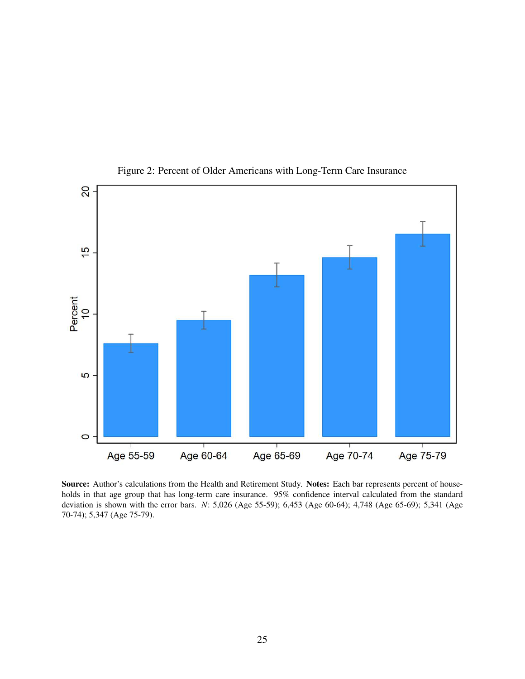

Figure 2: Percent of Older Americans with Long-Term Care Insurance

Source: Author's calculations from the Health and Retirement Study. Notes: Each bar represents percent of households in that age group that has long-term care insurance. 95% confidence interval calculated from the standard deviation is shown with the error bars. *N*: 5,026 (Age 55-59); 6,453 (Age 60-64); 4,748 (Age 65-69); 5,341 (Age 70-74); 5,347 (Age 75-79).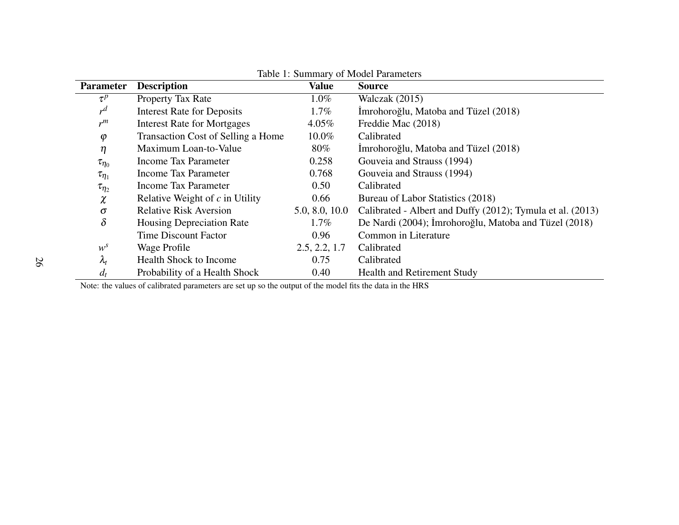| <b>Parameter</b> | <b>Description</b>                 | <b>Value</b>   | <b>Source</b>                                              |
|------------------|------------------------------------|----------------|------------------------------------------------------------|
| $\tau^p$         | Property Tax Rate                  | $1.0\%$        | Walczak $(2015)$                                           |
| $r^d$            | <b>Interest Rate for Deposits</b>  | $1.7\%$        | Imrohoroğlu, Matoba and Tüzel (2018)                       |
| $r^m$            | <b>Interest Rate for Mortgages</b> | 4.05%          | Freddie Mac (2018)                                         |
| $\varphi$        | Transaction Cost of Selling a Home | $10.0\%$       | Calibrated                                                 |
| $\eta$           | Maximum Loan-to-Value              | $80\%$         | Imrohoroğlu, Matoba and Tüzel (2018)                       |
| $\tau_{\eta_0}$  | <b>Income Tax Parameter</b>        | 0.258          | Gouveia and Strauss (1994)                                 |
| $\tau_{\eta_1}$  | <b>Income Tax Parameter</b>        | 0.768          | Gouveia and Strauss (1994)                                 |
| $\tau_{\eta_2}$  | <b>Income Tax Parameter</b>        | 0.50           | Calibrated                                                 |
| $\chi$           | Relative Weight of $c$ in Utility  | 0.66           | Bureau of Labor Statistics (2018)                          |
| $\sigma$         | <b>Relative Risk Aversion</b>      | 5.0, 8.0, 10.0 | Calibrated - Albert and Duffy (2012); Tymula et al. (2013) |
| $\delta$         | <b>Housing Depreciation Rate</b>   | $1.7\%$        | De Nardi (2004); İmrohoroğlu, Matoba and Tüzel (2018)      |
|                  | <b>Time Discount Factor</b>        | 0.96           | Common in Literature                                       |
| $w^{s}$          | Wage Profile                       | 2.5, 2.2, 1.7  | Calibrated                                                 |
| $\lambda_t$      | <b>Health Shock to Income</b>      | 0.75           | Calibrated                                                 |
| $d_t$            | Probability of a Health Shock      | 0.40           | <b>Health and Retirement Study</b>                         |

#### Table 1: Summary of Model Parameters

Note: the values of calibrated parameters are set up so the output of the model fits the data in the HRS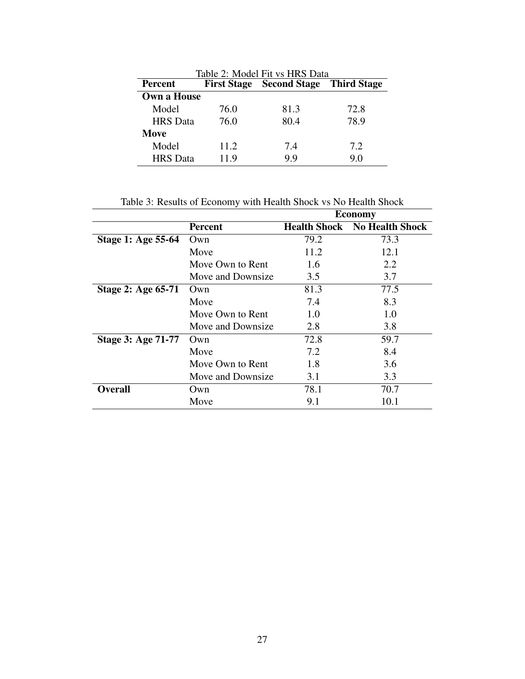| Table 2: Model Fit vs HRS Data |      |                                      |      |  |  |
|--------------------------------|------|--------------------------------------|------|--|--|
| <b>Percent</b>                 |      | First Stage Second Stage Third Stage |      |  |  |
| <b>Own a House</b>             |      |                                      |      |  |  |
| Model                          | 76.0 | 81.3                                 | 72.8 |  |  |
| <b>HRS</b> Data                | 76.0 | 80.4                                 | 78.9 |  |  |
| Move                           |      |                                      |      |  |  |
| Model                          | 11.2 | 7.4                                  | 7.2  |  |  |
| <b>HRS</b> Data                | 11.9 | 99                                   | 9.0  |  |  |

Table 3: Results of Economy with Health Shock vs No Health Shock

|                           |                   | <b>Economy</b>      |                        |  |
|---------------------------|-------------------|---------------------|------------------------|--|
|                           | <b>Percent</b>    | <b>Health Shock</b> | <b>No Health Shock</b> |  |
| Stage 1: Age 55-64        | Own               | 79.2                | 73.3                   |  |
|                           | Move              | 11.2                | 12.1                   |  |
|                           | Move Own to Rent  | 1.6                 | 2.2                    |  |
|                           | Move and Downsize | 3.5                 | 3.7                    |  |
| <b>Stage 2: Age 65-71</b> | Own               | 81.3                | 77.5                   |  |
|                           | Move              | 7.4                 | 8.3                    |  |
|                           | Move Own to Rent  | 1.0                 | 1.0                    |  |
|                           | Move and Downsize | 2.8                 | 3.8                    |  |
| <b>Stage 3: Age 71-77</b> | Own               | 72.8                | 59.7                   |  |
|                           | Move              | 7.2                 | 8.4                    |  |
|                           | Move Own to Rent  | 1.8                 | 3.6                    |  |
|                           | Move and Downsize | 3.1                 | 3.3                    |  |
| Overall                   | Own               | 78.1                | 70.7                   |  |
|                           | Move              | 9.1                 | 10.1                   |  |